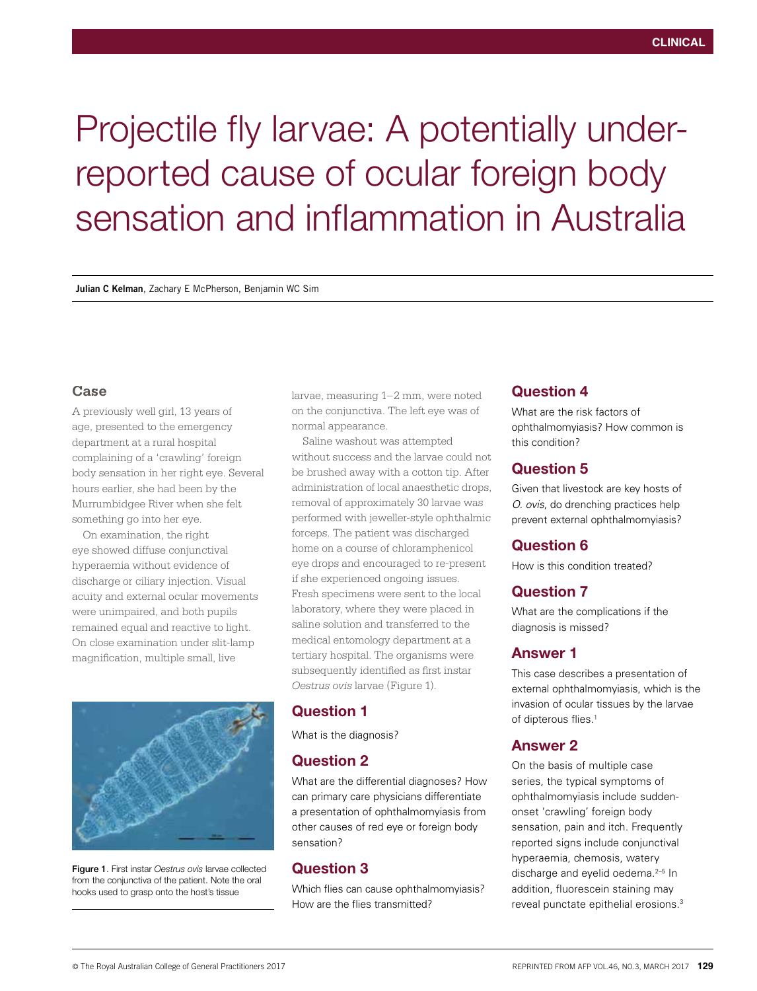# Projectile fly larvae: A potentially underreported cause of ocular foreign body sensation and inflammation in Australia

**Julian C Kelman**, Zachary E McPherson, Benjamin WC Sim

#### **Case**

A previously well girl, 13 years of age, presented to the emergency department at a rural hospital complaining of a 'crawling' foreign body sensation in her right eye. Several hours earlier, she had been by the Murrumbidgee River when she felt something go into her eye.

On examination, the right eye showed diffuse conjunctival hyperaemia without evidence of discharge or ciliary injection. Visual acuity and external ocular movements were unimpaired, and both pupils remained equal and reactive to light. On close examination under slit-lamp magnification, multiple small, live



Figure 1. First instar *Oestrus ovis* larvae collected from the conjunctiva of the patient. Note the oral hooks used to grasp onto the host's tissue

larvae, measuring 1–2 mm, were noted on the conjunctiva. The left eye was of normal appearance.

Saline washout was attempted without success and the larvae could not be brushed away with a cotton tip. After administration of local anaesthetic drops, removal of approximately 30 larvae was performed with jeweller-style ophthalmic forceps. The patient was discharged home on a course of chloramphenicol eye drops and encouraged to re-present if she experienced ongoing issues. Fresh specimens were sent to the local laboratory, where they were placed in saline solution and transferred to the medical entomology department at a tertiary hospital. The organisms were subsequently identified as first instar *Oestrus ovis* larvae (Figure 1).

# Question 1

What is the diagnosis?

# Question 2

What are the differential diagnoses? How can primary care physicians differentiate a presentation of ophthalmomyiasis from other causes of red eye or foreign body sensation?

# Question 3

Which flies can cause ophthalmomyiasis? How are the flies transmitted?

# Question 4

What are the risk factors of ophthalmomyiasis? How common is this condition?

## Question 5

Given that livestock are key hosts of *O. ovis*, do drenching practices help prevent external ophthalmomyiasis?

# Question 6

How is this condition treated?

# Question 7

What are the complications if the diagnosis is missed?

## Answer 1

This case describes a presentation of external ophthalmomyiasis, which is the invasion of ocular tissues by the larvae of dipterous flies.<sup>1</sup>

#### Answer 2

On the basis of multiple case series, the typical symptoms of ophthalmomyiasis include suddenonset 'crawling' foreign body sensation, pain and itch. Frequently reported signs include conjunctival hyperaemia, chemosis, watery discharge and eyelid oedema.<sup>2-5</sup> In addition, fluorescein staining may reveal punctate epithelial erosions.3